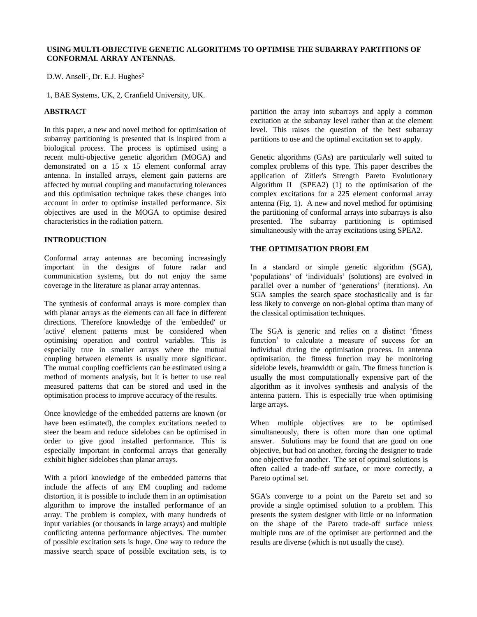$D.W.$  Ansell<sup>1</sup>, Dr. E.J. Hughes<sup>2</sup>

1, BAE Systems, UK, 2, Cranfield University, UK.

# **ABSTRACT**

In this paper, a new and novel method for optimisation of subarray partitioning is presented that is inspired from a biological process. The process is optimised using a recent multi-objective genetic algorithm (MOGA) and demonstrated on a 15 x 15 element conformal array antenna. In installed arrays, element gain patterns are affected by mutual coupling and manufacturing tolerances and this optimisation technique takes these changes into account in order to optimise installed performance. Six objectives are used in the MOGA to optimise desired characteristics in the radiation pattern.

# **INTRODUCTION**

Conformal array antennas are becoming increasingly important in the designs of future radar and communication systems, but do not enjoy the same coverage in the literature as planar array antennas.

The synthesis of conformal arrays is more complex than with planar arrays as the elements can all face in different directions. Therefore knowledge of the 'embedded' or 'active' element patterns must be considered when optimising operation and control variables. This is especially true in smaller arrays where the mutual coupling between elements is usually more significant. The mutual coupling coefficients can be estimated using a method of moments analysis, but it is better to use real measured patterns that can be stored and used in the optimisation process to improve accuracy of the results.

Once knowledge of the embedded patterns are known (or have been estimated), the complex excitations needed to steer the beam and reduce sidelobes can be optimised in order to give good installed performance. This is especially important in conformal arrays that generally exhibit higher sidelobes than planar arrays.

With a priori knowledge of the embedded patterns that include the affects of any EM coupling and radome distortion, it is possible to include them in an optimisation algorithm to improve the installed performance of an array. The problem is complex, with many hundreds of input variables (or thousands in large arrays) and multiple conflicting antenna performance objectives. The number of possible excitation sets is huge. One way to reduce the massive search space of possible excitation sets, is to

partition the array into subarrays and apply a common excitation at the subarray level rather than at the element level. This raises the question of the best subarray partitions to use and the optimal excitation set to apply.

Genetic algorithms (GAs) are particularly well suited to complex problems of this type. This paper describes the application of Zitler's Strength Pareto Evolutionary Algorithm II (SPEA2) (1) to the optimisation of the complex excitations for a 225 element conformal array antenna (Fig. 1). A new and novel method for optimising the partitioning of conformal arrays into subarrays is also presented. The subarray partitioning is optimised simultaneously with the array excitations using SPEA2.

## **THE OPTIMISATION PROBLEM**

In a standard or simple genetic algorithm (SGA), 'populations' of 'individuals' (solutions) are evolved in parallel over a number of 'generations' (iterations). An SGA samples the search space stochastically and is far less likely to converge on non-global optima than many of the classical optimisation techniques.

The SGA is generic and relies on a distinct 'fitness function' to calculate a measure of success for an individual during the optimisation process. In antenna optimisation, the fitness function may be monitoring sidelobe levels, beamwidth or gain. The fitness function is usually the most computationally expensive part of the algorithm as it involves synthesis and analysis of the antenna pattern. This is especially true when optimising large arrays.

When multiple objectives are to be optimised simultaneously, there is often more than one optimal answer. Solutions may be found that are good on one objective, but bad on another, forcing the designer to trade one objective for another. The set of optimal solutions is often called a trade-off surface, or more correctly, a Pareto optimal set.

SGA's converge to a point on the Pareto set and so provide a single optimised solution to a problem. This presents the system designer with little or no information on the shape of the Pareto trade-off surface unless multiple runs are of the optimiser are performed and the results are diverse (which is not usually the case).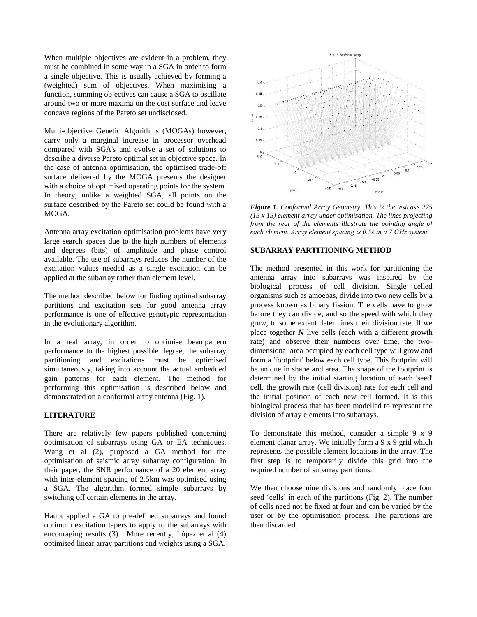When multiple objectives are evident in a problem, they must be combined in some way in a SGA in order to form a single objective. This is usually achieved by forming a (weighted) sum of objectives. When maximising a function, summing objectives can cause a SGA to oscillate around two or more maxima on the cost surface and leave concave regions of the Pareto set undisclosed.

Multi-objective Genetic Algorithms (MOGAs) however, carry only a marginal increase in processor overhead compared with SGA's and evolve a set of solutions to describe a diverse Pareto optimal set in objective space. In the case of antenna optimisation, the optimised trade-off surface delivered by the MOGA presents the designer with a choice of optimised operating points for the system. In theory, unlike a weighted SGA, all points on the surface described by the Pareto set could be found with a MOGA.

Antenna array excitation optimisation problems have very large search spaces due to the high numbers of elements and degrees (bits) of amplitude and phase control available. The use of subarrays reduces the number of the excitation values needed as a single excitation can be applied at the subarray rather than element level.

The method described below for finding optimal subarray partitions and excitation sets for good antenna array performance is one of effective genotypic representation in the evolutionary algorithm.

In a real array, in order to optimise beampattern performance to the highest possible degree, the subarray partitioning and excitations must be optimised simultaneously, taking into account the actual embedded gain patterns for each element. The method for performing this optimisation is described below and demonstrated on a conformal array antenna (Fig. 1).

#### **LITERATURE**

There are relatively few papers published concerning optimisation of subarrays using GA or EA techniques. Wang et al (2), proposed a GA method for the optimisation of seismic array subarray configuration. In their paper, the SNR performance of a 20 element array with inter-element spacing of 2.5km was optimised using a SGA. The algorithm formed simple subarrays by switching off certain elements in the array.

Haupt applied a GA to pre-defined subarrays and found optimum excitation tapers to apply to the subarrays with encouraging results (3). More recently, López et al (4) optimised linear array partitions and weights using a SGA.



*Figure 1. Conformal Array Geometry. This is the testcase 225 (15 x 15) element array under optimisation. The lines projecting from the rear of the elements illustrate the pointing angle of each element. Array element spacing is 0.5λ in a 7 GHz system.*

## **SUBARRAY PARTITIONING METHOD**

The method presented in this work for partitioning the antenna array into subarrays was inspired by the biological process of cell division. Single celled organisms such as amoebas, divide into two new cells by a process known as binary fission. The cells have to grow before they can divide, and so the speed with which they grow, to some extent determines their division rate. If we place together *N* live cells (each with a different growth rate) and observe their numbers over time, the twodimensional area occupied by each cell type will grow and form a 'footprint' below each cell type. This footprint will be unique in shape and area. The shape of the footprint is determined by the initial starting location of each 'seed' cell, the growth rate (cell division) rate for each cell and the initial position of each new cell formed. It is this biological process that has been modelled to represent the division of array elements into subarrays.

To demonstrate this method, consider a simple 9 x 9 element planar array. We initially form a 9 x 9 grid which represents the possible element locations in the array. The first step is to temporarily divide this grid into the required number of subarray partitions.

We then choose nine divisions and randomly place four seed 'cells' in each of the partitions (Fig. 2). The number of cells need not be fixed at four and can be varied by the user or by the optimisation process. The partitions are then discarded.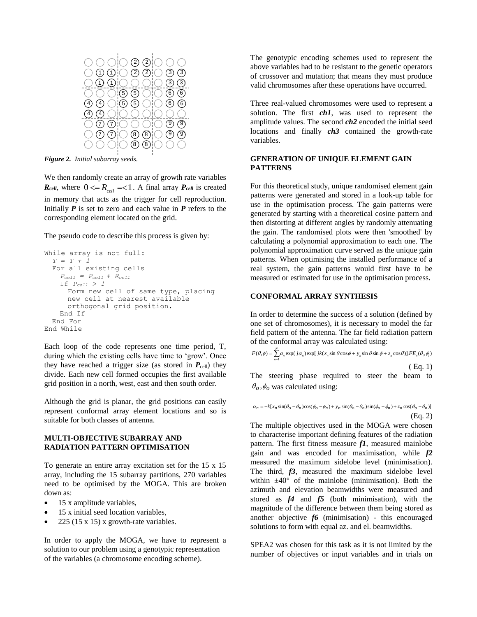

*Figure 2. Initial subarray seeds.*

We then randomly create an array of growth rate variables *R*<sub>cell</sub>, where  $0 \le R_{cell} = 1$ . A final array *P*<sub>cell</sub> is created in memory that acts as the trigger for cell reproduction. Initially  $P$  is set to zero and each value in  $P$  refers to the corresponding element located on the grid.

The pseudo code to describe this process is given by:

```
While array is not full:
  T = T + 1
  For all existing cells 
    P_{cell} = P_{cell} + R_{cell}If Pcell > 1
      Form new cell of same type, placing 
      new cell at nearest available 
      orthogonal grid position.
   End If
  End For
End While
```
Each loop of the code represents one time period, T, during which the existing cells have time to 'grow'. Once they have reached a trigger size (as stored in  $P_{cell}$ ) they divide. Each new cell formed occupies the first available grid position in a north, west, east and then south order.

Although the grid is planar, the grid positions can easily represent conformal array element locations and so is suitable for both classes of antenna.

### **MULTI-OBJECTIVE SUBARRAY AND RADIATION PATTERN OPTIMISATION**

To generate an entire array excitation set for the 15 x 15 array, including the 15 subarray partitions, 270 variables need to be optimised by the MOGA. This are broken down as:

- 15 x amplitude variables,
- 15 x initial seed location variables,
- 225 (15 x 15) x growth-rate variables.

In order to apply the MOGA, we have to represent a solution to our problem using a genotypic representation of the variables (a chromosome encoding scheme).

The genotypic encoding schemes used to represent the above variables had to be resistant to the genetic operators of crossover and mutation; that means they must produce valid chromosomes after these operations have occurred.

Three real-valued chromosomes were used to represent a solution. The first *ch1*, was used to represent the amplitude values. The second *ch2* encoded the initial seed locations and finally *ch3* contained the growth-rate variables.

## **GENERATION OF UNIQUE ELEMENT GAIN PATTERNS**

For this theoretical study, unique randomised element gain patterns were generated and stored in a look-up table for use in the optimisation process. The gain patterns were generated by starting with a theoretical cosine pattern and then distorting at different angles by randomly attenuating the gain. The randomised plots were then 'smoothed' by calculating a polynomial approximation to each one. The polynomial approximation curve served as the unique gain patterns. When optimising the installed performance of a real system, the gain patterns would first have to be measured or estimated for use in the optimisation process.

## **CONFORMAL ARRAY SYNTHESIS**

In order to determine the success of a solution (defined by one set of chromosomes), it is necessary to model the far field pattern of the antenna. The far field radiation pattern<br>of the conformal array was calculated using:<br> $F(\theta, \phi) = \sum_{n=1}^{N} a_n \exp(j\alpha_n) \exp[jk(x_n \sin \theta \cos \phi + y_n \sin \theta \sin \phi + z_n \cos \theta)].$  *FE<sub>n</sub>*( $\theta_i, \phi_i$ ) of the conformal array was calculated using:

$$
F(\theta, \phi) = \sum_{n=1}^{N} a_n \exp(j\alpha_n) \exp[jk(x_n \sin \theta \cos \phi + y_n \sin \theta \sin \phi + z_n \cos \theta)]. F E_n(\theta_i, \phi_i)
$$
\n
$$
\text{(Eq. 1)}
$$

The steering phase required to steer the beam to  $\theta$ <sub>o</sub>, $\phi$ <sub>o</sub> was calculated using:

$$
\alpha_n = -k[x_n \sin(\theta_o - \theta_n) \cos(\phi_o - \phi_n) + y_n \sin(\theta_o - \theta_n) \sin(\phi_o - \phi_n) + z_n \cos(\theta_o - \theta_n)]
$$
\n(Eq. 2)

The multiple objectives used in the MOGA were chosen to characterise important defining features of the radiation pattern. The first fitness measure *f1*, measured mainlobe gain and was encoded for maximisation, while *f2* measured the maximum sidelobe level (minimisation). The third, *f3*, measured the maximum sidelobe level within  $\pm 40^{\circ}$  of the mainlobe (minimisation). Both the azimuth and elevation beamwidths were measured and stored as *f4* and *f5* (both minimisation), with the magnitude of the difference between them being stored as another objective *f6* (minimisation) - this encouraged solutions to form with equal az. and el. beamwidths.

SPEA2 was chosen for this task as it is not limited by the number of objectives or input variables and in trials on